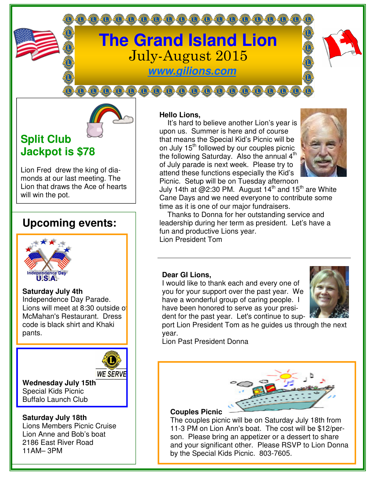

0000000000000000000000

**www.gilions.com**

**000000000000000000** 

# **Split Club Jackpot is \$78**

Lion Fred drew the king of diamonds at our last meeting. The Lion that draws the Ace of hearts will win the pot.

# **Upcoming events:**



**Saturday July 4th** Independence Day Parade. Lions will meet at 8:30 outside of McMahan's Restaurant. Dress code is black shirt and Khaki pants.



**Wednesday July 15th**  Special Kids Picnic Buffalo Launch Club

#### **Saturday July 18th**  Lions Members Picnic Cruise Lion Anne and Bob's boat 2186 East River Road 11AM– 3PM

## **Hello Lions,**

 It's hard to believe another Lion's year is upon us. Summer is here and of course that means the Special Kid's Picnic will be on July 15<sup>th</sup> followed by our couples picnic the following Saturday. Also the annual 4<sup>th</sup> of July parade is next week. Please try to attend these functions especially the Kid's Picnic. Setup will be on Tuesday afternoon



July 14th at  $@2:30$  PM. August  $14<sup>th</sup>$  and  $15<sup>th</sup>$  are White Cane Days and we need everyone to contribute some time as it is one of our major fundraisers.

 Thanks to Donna for her outstanding service and leadership during her term as president. Let's have a fun and productive Lions year. Lion President Tom

### **Dear GI Lions,**

I would like to thank each and every one of you for your support over the past year. We have a wonderful group of caring people. I have been honored to serve as your president for the past year. Let's continue to sup-



port Lion President Tom as he guides us through the next year.

Lion Past President Donna



#### **Couples Picnic**

The couples picnic will be on Saturday July 18th from 11-3 PM on Lion Ann's boat. The cost will be \$12/person. Please bring an appetizer or a dessert to share and your significant other. Please RSVP to Lion Donna by the Special Kids Picnic. 803-7605.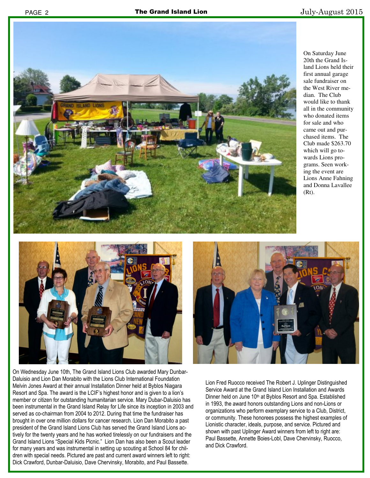

On Saturday June 20th the Grand Island Lions held their first annual garage sale fundraiser on the West River median. The Club would like to thank all in the community who donated items for sale and who came out and purchased items. The Club made \$263.70 which will go towards Lions programs. Seen working the event are Lions Anne Fahning and Donna Lavallee  $(Rt)$ .



On Wednesday June 10th, The Grand Island Lions Club awarded Mary Dunbar-Daluisio and Lion Dan Morabito with the Lions Club International Foundation Melvin Jones Award at their annual Installation Dinner held at Byblos Niagara Resort and Spa. The award is the LCIF's highest honor and is given to a lion's member or citizen for outstanding humanitarian service. Mary Dubar-Daluisio has been instrumental in the Grand Island Relay for Life since its inception in 2003 and served as co-chairman from 2004 to 2012. During that time the fundraiser has brought in over one million dollars for cancer research. Lion Dan Morabito a past president of the Grand Island Lions Club has served the Grand Island Lions actively for the twenty years and he has worked tirelessly on our fundraisers and the Grand Island Lions "Special Kids Picnic." Lion Dan has also been a Scout leader for many years and was instrumental in setting up scouting at School 84 for children with special needs. Pictured are past and current award winners left to right: Dick Crawford, Dunbar-Daluisio, Dave Chervinsky, Morabito, and Paul Bassette.



Lion Fred Ruocco received The Robert J. Uplinger Distinguished Service Award at the Grand Island Lion Installation and Awards Dinner held on June 10<sup>th</sup> at Byblos Resort and Spa. Established in 1993, the award honors outstanding Lions and non-Lions or organizations who perform exemplary service to a Club, District, or community. These honorees possess the highest examples of Lionistic character, ideals, purpose, and service. Pictured and shown with past Uplinger Award winners from left to right are: Paul Bassette, Annette Boies-Lobl, Dave Chervinsky, Ruocco, and Dick Crawford.